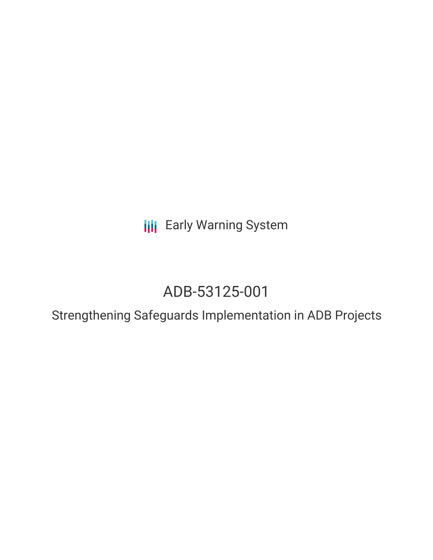**III** Early Warning System

# ADB-53125-001

Strengthening Safeguards Implementation in ADB Projects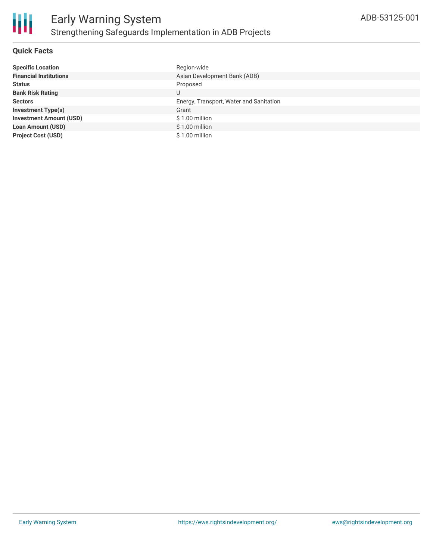

# **Quick Facts**

| <b>Specific Location</b>       | Region-wide                             |
|--------------------------------|-----------------------------------------|
| <b>Financial Institutions</b>  | Asian Development Bank (ADB)            |
| <b>Status</b>                  | Proposed                                |
| <b>Bank Risk Rating</b>        | U                                       |
| <b>Sectors</b>                 | Energy, Transport, Water and Sanitation |
| <b>Investment Type(s)</b>      | Grant                                   |
| <b>Investment Amount (USD)</b> | $$1.00$ million                         |
| <b>Loan Amount (USD)</b>       | $$1.00$ million                         |
| <b>Project Cost (USD)</b>      | $$1.00$ million                         |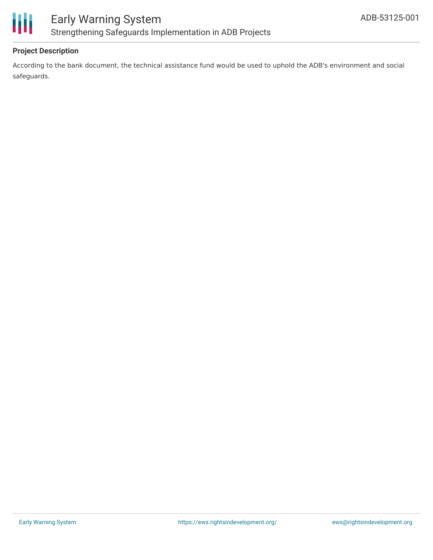

# **Project Description**

According to the bank document, the technical assistance fund would be used to uphold the ADB's environment and social safeguards.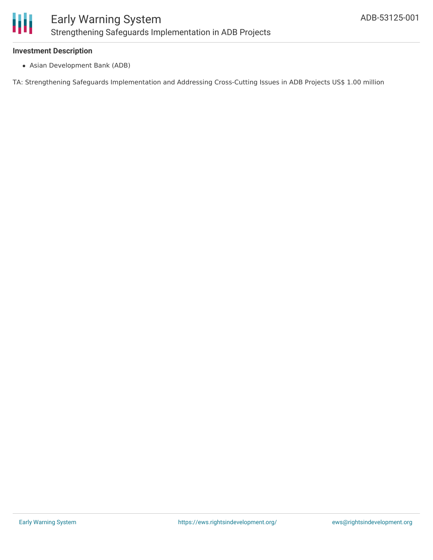

## **Investment Description**

Asian Development Bank (ADB)

TA: Strengthening Safeguards Implementation and Addressing Cross-Cutting Issues in ADB Projects US\$ 1.00 million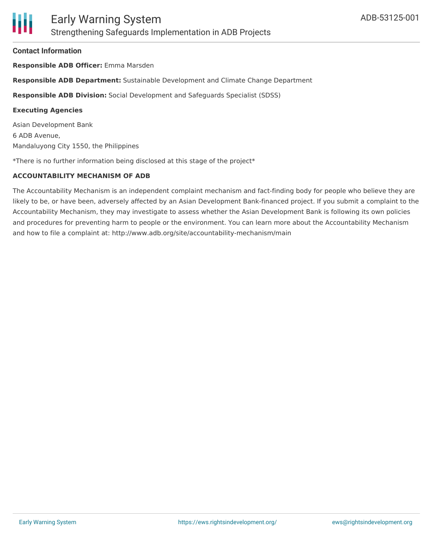#### **Contact Information**

**Responsible ADB Officer:** Emma Marsden

**Responsible ADB Department:** Sustainable Development and Climate Change Department

**Responsible ADB Division:** Social Development and Safeguards Specialist (SDSS)

#### **Executing Agencies**

Asian Development Bank 6 ADB Avenue, Mandaluyong City 1550, the Philippines

\*There is no further information being disclosed at this stage of the project\*

# **ACCOUNTABILITY MECHANISM OF ADB**

The Accountability Mechanism is an independent complaint mechanism and fact-finding body for people who believe they are likely to be, or have been, adversely affected by an Asian Development Bank-financed project. If you submit a complaint to the Accountability Mechanism, they may investigate to assess whether the Asian Development Bank is following its own policies and procedures for preventing harm to people or the environment. You can learn more about the Accountability Mechanism and how to file a complaint at: http://www.adb.org/site/accountability-mechanism/main